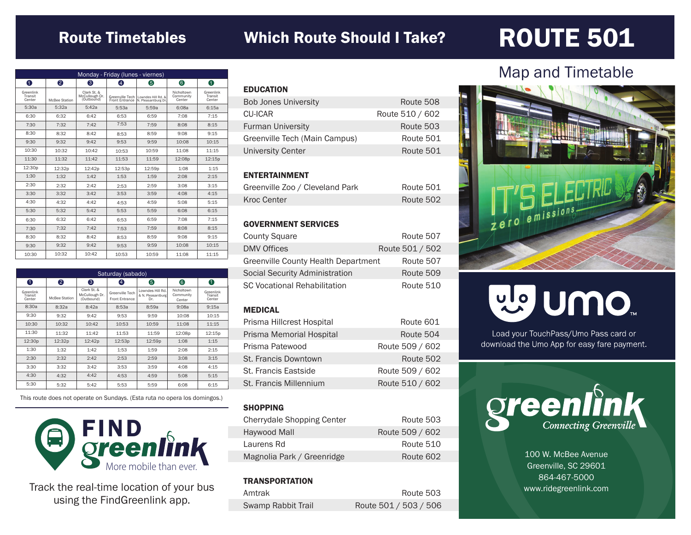### Route Timetables Which Route Should I Take?

## ROUTE 501

| Monday - Friday (lunes - viernes) |               |                                             |                                   |                                           |                                   |                                |
|-----------------------------------|---------------|---------------------------------------------|-----------------------------------|-------------------------------------------|-----------------------------------|--------------------------------|
| 0                                 | 2             | 6                                           | Φ                                 | 6                                         | 6                                 | 0                              |
| Greenlink<br>Transit<br>Center    | McBee Station | Clark St. &<br>McCullough Dr.<br>(Outbound) | Greenville Tech<br>Front Entrance | Lowndes Hill Rd, &<br>N. Pleasantburg Dr. | Nicholtown<br>Community<br>Center | Greenlink<br>Transit<br>Center |
| 5:30a                             | 5:32a         | 5:42a                                       | 5:53a                             | 5:59a                                     | 6:08a                             | 6:15a                          |
| 6:30                              | 6:32          | 6:42                                        | 6:53                              | 6:59                                      | 7:08                              | 7:15                           |
| 7:30                              | 7:32          | 7:42                                        | 7:53                              | 7:59                                      | 8:08                              | 8:15                           |
| 8:30                              | 8:32          | 8:42                                        | 8:53                              | 8:59                                      | 9:08                              | 9:15                           |
| 9:30                              | 9:32          | 9:42                                        | 9:53                              | 9:59                                      | 10:08                             | 10:15                          |
| 10:30                             | 10:32         | 10:42                                       | 10:53                             | 10:59                                     | 11:08                             | 11:15                          |
| 11:30                             | 11:32         | 11:42                                       | 11:53                             | 11:59                                     | 12:08p                            | 12:15p                         |
| 12:30p                            | 12:32p        | 12:42p                                      | 12:53p                            | 12:59p                                    | 1:08                              | 1:15                           |
| 1:30                              | 1:32          | 1:42                                        | 1:53                              | 1:59                                      | 2:08                              | 2:15                           |
| 2:30                              | 2:32          | 2:42                                        | 2:53                              | 2:59                                      | 3:08                              | 3:15                           |
| 3:30                              | 3:32          | 3:42                                        | 3:53                              | 3:59                                      | 4:08                              | 4:15                           |
| 4:30                              | 4:32          | 4:42                                        | 4:53                              | 4:59                                      | 5:08                              | 5:15                           |
| 5:30                              | 5:32          | 5:42                                        | 5:53                              | 5:59                                      | 6:08                              | 6:15                           |
| 6:30                              | 6:32          | 6:42                                        | 6:53                              | 6:59                                      | 7:08                              | 7:15                           |
| 7:30                              | 7:32          | 7:42                                        | 7:53                              | 7:59                                      | 8:08                              | 8:15                           |
| 8:30                              | 8:32          | 8:42                                        | 8:53                              | 8:59                                      | 9:08                              | 9:15                           |
| 9:30                              | 9:32          | 9:42                                        | 9:53                              | 9:59                                      | 10:08                             | 10:15                          |
| 10:30                             | 10:32         | 10:42                                       | 10:53                             | 10:59                                     | 11:08                             | 11:15                          |

| Saturday (sabado)              |               |                                             |                                          |                                              |                                   |                                |
|--------------------------------|---------------|---------------------------------------------|------------------------------------------|----------------------------------------------|-----------------------------------|--------------------------------|
| 0                              | 2             | 3                                           | 4                                        | 6                                            | 6                                 | 0                              |
| Greenlink<br>Transit<br>Center | McBee Station | Clark St. &<br>McCullough Dr.<br>(Outbound) | Greenville Tech<br><b>Front Entrance</b> | Lowndes Hill Rd.<br>& N. Pleasantburg<br>Dr. | Nicholtown<br>Community<br>Center | Greenlink<br>Transit<br>Center |
| 8:30a                          | 8:32a         | 8:42a                                       | 8:53a                                    | 8:59a                                        | 9:08a                             | 9:15a                          |
| 9:30                           | 9:32          | 9:42                                        | 9:53                                     | 9:59                                         | 10:08                             | 10:15                          |
| 10:30                          | 10:32         | 10:42                                       | 10:53                                    | 10:59                                        | 11:08                             | 11:15                          |
| 11:30                          | 11:32         | 11:42                                       | 11:53                                    | 11:59                                        | 12:08p                            | 12:15p                         |
| 12:30p                         | 12:32p        | 12:42p                                      | 12:53p                                   | 12:59p                                       | 1:08                              | 1:15                           |
| 1:30                           | 1:32          | 1:42                                        | 1:53                                     | 1:59                                         | 2:08                              | 2:15                           |
| 2:30                           | 2:32          | 2:42                                        | 2:53                                     | 2:59                                         | 3:08                              | 3:15                           |
| 3:30                           | 3:32          | 3:42                                        | 3:53                                     | 3:59                                         | 4:08                              | 4:15                           |
| 4:30                           | 4:32          | 4:42                                        | 4:53                                     | 4:59                                         | 5:08                              | 5:15                           |
| 5:30                           | 5:32          | 5:42                                        | 5:53                                     | 5:59                                         | 6:08                              | 6:15                           |

This route does not operate on Sundays. (Esta ruta no opera los domingos.)



Track the real-time location of your bus using the FindGreenlink app.

| <b>EDUCATION</b>              |                 |
|-------------------------------|-----------------|
| <b>Bob Jones University</b>   | Route 508       |
| CU-ICAR                       | Route 510 / 602 |
| <b>Furman University</b>      | Route 503       |
| Greenville Tech (Main Campus) | Route 501       |
| <b>University Center</b>      | Route 501       |
|                               |                 |

#### ENTERTAINMENT

| Greenville Zoo / Cleveland Park | Route 501 |
|---------------------------------|-----------|
| Kroc Center                     | Route 502 |

#### GOVERNMENT SERVICES

| <b>County Square</b>                | Route 507       |
|-------------------------------------|-----------------|
| <b>DMV Offices</b>                  | Route 501 / 502 |
| Greenville County Health Department | Route 507       |
| Social Security Administration      | Route 509       |
| <b>SC Vocational Rehabilitation</b> | Route 510       |

#### MEDICAL

| Prisma Hillcrest Hospital | Route 601       |
|---------------------------|-----------------|
| Prisma Memorial Hospital  | Route 504       |
| Prisma Patewood           | Route 509 / 602 |
| St. Francis Downtown      | Route 502       |
| St. Francis Eastside      | Route 509 / 602 |
| St. Francis Millennium    | Route 510 / 602 |

#### **SHOPPING**

| <b>Cherrydale Shopping Center</b> | Route 503       |
|-----------------------------------|-----------------|
| Haywood Mall                      | Route 509 / 602 |
| Laurens Rd                        | Route 510       |
| Magnolia Park / Greenridge        | Route 602       |

#### **TRANSPORTATION**

| Amtrak                    | Route 503             |
|---------------------------|-----------------------|
| <b>Swamp Rabbit Trail</b> | Route 501 / 503 / 506 |

### Map and Timetable



# ng nuo"

Load your TouchPass/Umo Pass card or download the Umo App for easy fare payment.



100 W. McBee Avenue Greenville, SC 29601 864-467-5000 www.ridegreenlink.com